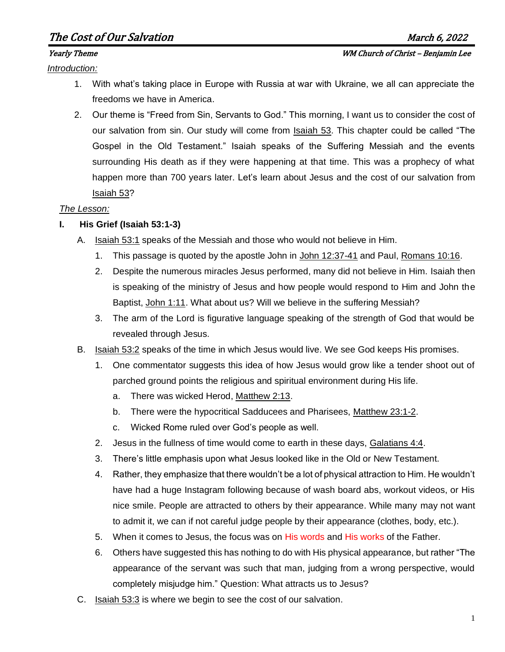# The Cost of Our Salvation and the cost of Our Salvation and the cost of  $M$ arch 6, 2022

#### *Introduction:*

- 1. With what's taking place in Europe with Russia at war with Ukraine, we all can appreciate the freedoms we have in America.
- 2. Our theme is "Freed from Sin, Servants to God." This morning, I want us to consider the cost of our salvation from sin. Our study will come from Isaiah 53. This chapter could be called "The Gospel in the Old Testament." Isaiah speaks of the Suffering Messiah and the events surrounding His death as if they were happening at that time. This was a prophecy of what happen more than 700 years later. Let's learn about Jesus and the cost of our salvation from Isaiah 53?

### *The Lesson:*

## **I. His Grief (Isaiah 53:1-3)**

- A. Isaiah 53:1 speaks of the Messiah and those who would not believe in Him.
	- 1. This passage is quoted by the apostle John in John 12:37-41 and Paul, Romans 10:16.
	- 2. Despite the numerous miracles Jesus performed, many did not believe in Him. Isaiah then is speaking of the ministry of Jesus and how people would respond to Him and John the Baptist, John 1:11. What about us? Will we believe in the suffering Messiah?
	- 3. The arm of the Lord is figurative language speaking of the strength of God that would be revealed through Jesus.
- B. Isaiah 53:2 speaks of the time in which Jesus would live. We see God keeps His promises.
	- 1. One commentator suggests this idea of how Jesus would grow like a tender shoot out of parched ground points the religious and spiritual environment during His life.
		- a. There was wicked Herod, Matthew 2:13.
		- b. There were the hypocritical Sadducees and Pharisees, Matthew 23:1-2.
		- c. Wicked Rome ruled over God's people as well.
	- 2. Jesus in the fullness of time would come to earth in these days, Galatians 4:4.
	- 3. There's little emphasis upon what Jesus looked like in the Old or New Testament.
	- 4. Rather, they emphasize that there wouldn't be a lot of physical attraction to Him. He wouldn't have had a huge Instagram following because of wash board abs, workout videos, or His nice smile. People are attracted to others by their appearance. While many may not want to admit it, we can if not careful judge people by their appearance (clothes, body, etc.).
	- 5. When it comes to Jesus, the focus was on His words and His works of the Father.
	- 6. Others have suggested this has nothing to do with His physical appearance, but rather "The appearance of the servant was such that man, judging from a wrong perspective, would completely misjudge him." Question: What attracts us to Jesus?
- C. Isaiah 53:3 is where we begin to see the cost of our salvation.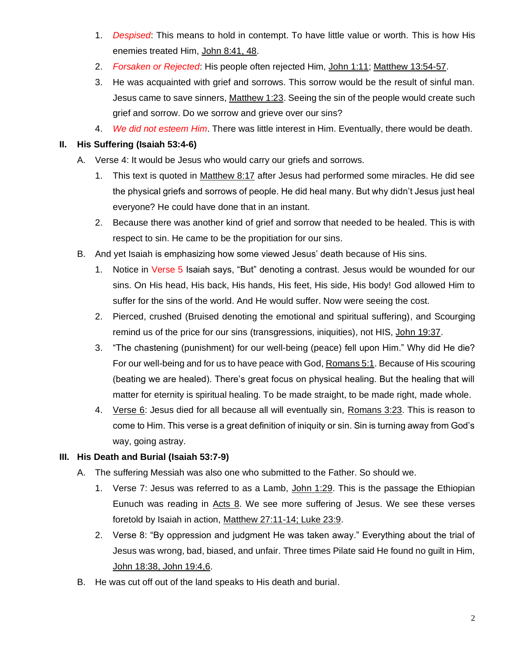- 1. *Despised*: This means to hold in contempt. To have little value or worth. This is how His enemies treated Him, John 8:41, 48.
- 2. *Forsaken or Rejected*: His people often rejected Him, John 1:11; Matthew 13:54-57.
- 3. He was acquainted with grief and sorrows. This sorrow would be the result of sinful man. Jesus came to save sinners, Matthew 1:23. Seeing the sin of the people would create such grief and sorrow. Do we sorrow and grieve over our sins?
- 4. *We did not esteem Him*. There was little interest in Him. Eventually, there would be death.

# **II. His Suffering (Isaiah 53:4-6)**

- A. Verse 4: It would be Jesus who would carry our griefs and sorrows.
	- 1. This text is quoted in Matthew 8:17 after Jesus had performed some miracles. He did see the physical griefs and sorrows of people. He did heal many. But why didn't Jesus just heal everyone? He could have done that in an instant.
	- 2. Because there was another kind of grief and sorrow that needed to be healed. This is with respect to sin. He came to be the propitiation for our sins.
- B. And yet Isaiah is emphasizing how some viewed Jesus' death because of His sins.
	- 1. Notice in Verse 5 Isaiah says, "But" denoting a contrast. Jesus would be wounded for our sins. On His head, His back, His hands, His feet, His side, His body! God allowed Him to suffer for the sins of the world. And He would suffer. Now were seeing the cost.
	- 2. Pierced, crushed (Bruised denoting the emotional and spiritual suffering), and Scourging remind us of the price for our sins (transgressions, iniquities), not HIS, John 19:37.
	- 3. "The chastening (punishment) for our well-being (peace) fell upon Him." Why did He die? For our well-being and for us to have peace with God, Romans 5:1. Because of His scouring (beating we are healed). There's great focus on physical healing. But the healing that will matter for eternity is spiritual healing. To be made straight, to be made right, made whole.
	- 4. Verse 6: Jesus died for all because all will eventually sin, Romans 3:23. This is reason to come to Him. This verse is a great definition of iniquity or sin. Sin is turning away from God's way, going astray.

# **III. His Death and Burial (Isaiah 53:7-9)**

- A. The suffering Messiah was also one who submitted to the Father. So should we.
	- 1. Verse 7: Jesus was referred to as a Lamb, John 1:29. This is the passage the Ethiopian Eunuch was reading in Acts 8. We see more suffering of Jesus. We see these verses foretold by Isaiah in action, Matthew 27:11-14; Luke 23:9.
	- 2. Verse 8: "By oppression and judgment He was taken away." Everything about the trial of Jesus was wrong, bad, biased, and unfair. Three times Pilate said He found no guilt in Him, John 18:38, John 19:4,6.
- B. He was cut off out of the land speaks to His death and burial.